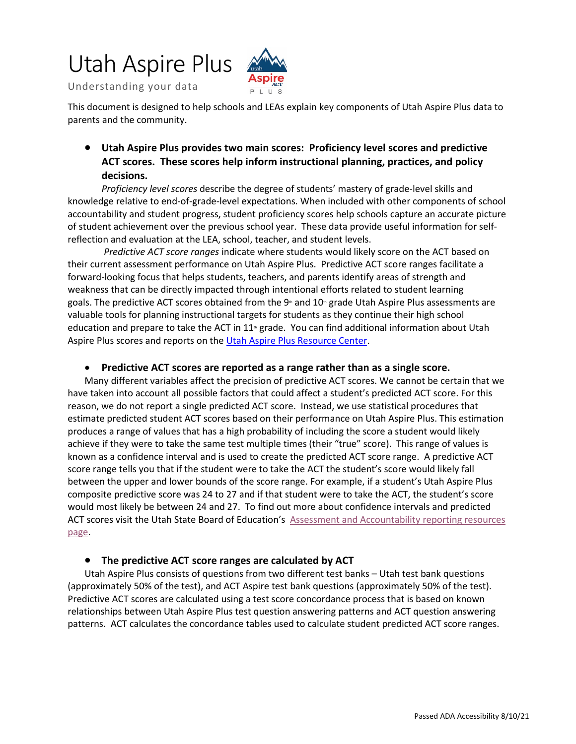# Utah Aspire Plus



Understanding your data

 This document is designed to help schools and LEAs explain key components of Utah Aspire Plus data to parents and the community.

### **ACT scores. These scores help inform instructional planning, practices, and policy**  • **Utah Aspire Plus provides two main scores: Proficiency level scores and predictive decisions.**

 knowledge relative to end-of-grade-level expectations. When included with other components of school accountability and student progress, student proficiency scores help schools capture an accurate picture reflection and evaluation at the LEA, school, teacher, and student levels. *Proficiency level scores* describe the degree of students' mastery of grade-level skills and of student achievement over the previous school year. These data provide useful information for self-

 *Predictive ACT score ranges* indicate where students would likely score on the ACT based on their current assessment performance on Utah Aspire Plus. Predictive ACT score ranges facilitate a goals. The predictive ACT scores obtained from the 9<sup>th</sup> and 10<sup>th</sup> grade Utah Aspire Plus assessments are education and prepare to take the ACT in  $11<sup>*</sup>$  grade. You can find additional information about Utah forward-looking focus that helps students, teachers, and parents identify areas of strength and weakness that can be directly impacted through intentional efforts related to student learning valuable tools for planning instructional targets for students as they continue their high school Aspire Plus scores and reports on th[e Utah Aspire Plus Resource Center](http://utah.pearsonaccessnext.com/additional-services/).

#### • **Predictive ACT scores are reported as a range rather than as a single score.**

 have taken into account all possible factors that could affect a student's predicted ACT score. For this produces a range of values that has a high probability of including the score a student would likely between the upper and lower bounds of the score range. For example, if a student's Utah Aspire Plus would most likely be between 24 and 27. To find out more about confidence intervals and predicted ACT scores visit the Utah State Board of Education's Assessment and Accountability reporting resources Many different variables affect the precision of predictive ACT scores. We cannot be certain that we reason, we do not report a single predicted ACT score. Instead, we use statistical procedures that estimate predicted student ACT scores based on their performance on Utah Aspire Plus. This estimation achieve if they were to take the same test multiple times (their "true" score). This range of values is known as a confidence interval and is used to create the predicted ACT score range. A predictive ACT score range tells you that if the student were to take the ACT the student's score would likely fall composite predictive score was 24 to 27 and if that student were to take the ACT, the student's score [page.](https://www.schools.utah.gov/assessment/resources?mid=1171&tid=3)

#### • **The predictive ACT score ranges are calculated by ACT**

 (approximately 50% of the test), and ACT Aspire test bank questions (approximately 50% of the test). Predictive ACT scores are calculated using a test score concordance process that is based on known patterns. ACT calculates the concordance tables used to calculate student predicted ACT score ranges. Utah Aspire Plus consists of questions from two different test banks – Utah test bank questions relationships between Utah Aspire Plus test question answering patterns and ACT question answering